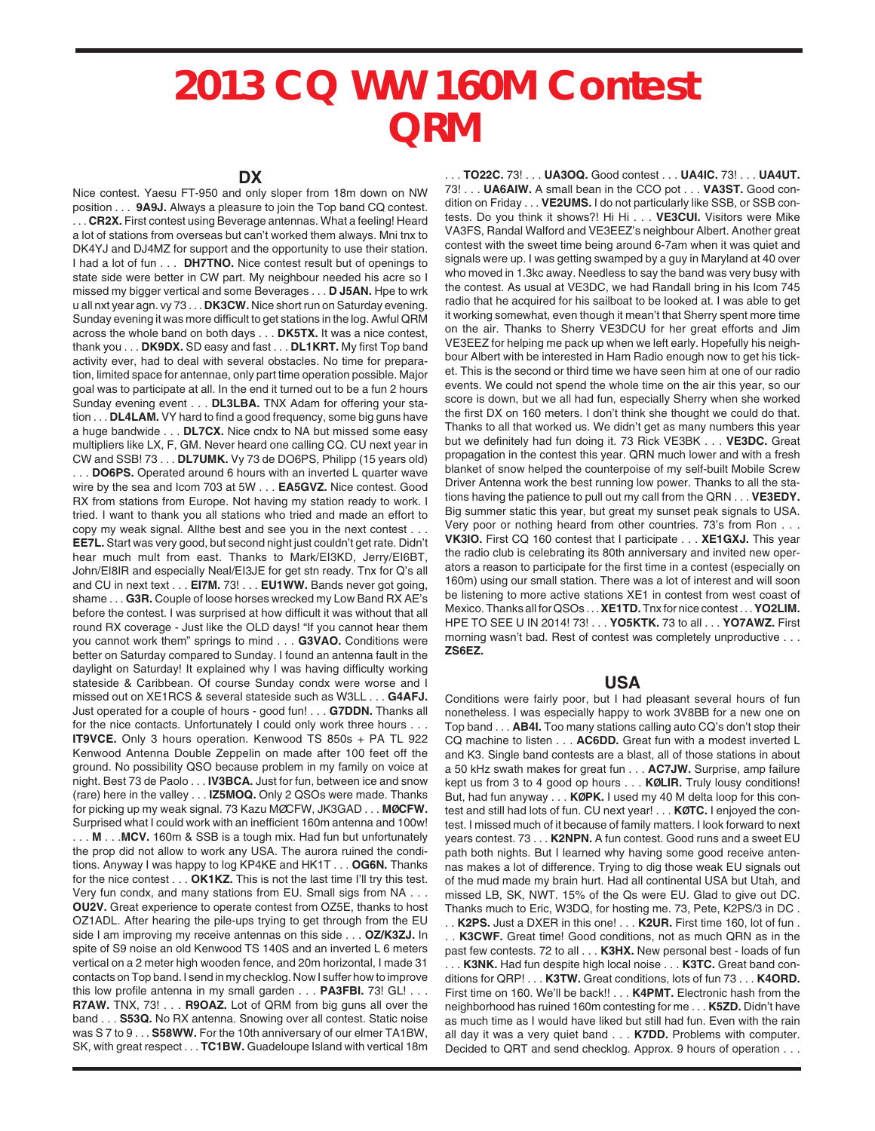## **2013 CQ WW 160M Contest QRM**

Nice contest. Yaesu FT-950 and only sloper from 18m down on NW position . . . **9A9J.** Always a pleasure to join the Top band CQ contest. . . . **CR2X.** First contest using Beverage antennas. What a feeling! Heard a lot of stations from overseas but can't worked them always. Mni tnx to DK4YJ and DJ4MZ for support and the opportunity to use their station. I had a lot of fun . . . **DH7TNO.** Nice contest result but of openings to state side were better in CW part. My neighbour needed his acre so I missed my bigger vertical and some Beverages . . . **D J5AN.** Hpe to wrk u all nxt year agn. vy 73 . . . **DK3CW.** Nice short run on Saturday evening. Sunday evening it was more difficult to get stations in the log. Awful QRM across the whole band on both days . . . **DK5TX.** It was a nice contest, thank you . . . **DK9DX.** SD easy and fast . . . **DL1KRT.** My first Top band activity ever, had to deal with several obstacles. No time for preparation, limited space for antennae, only part time operation possible. Major goal was to participate at all. In the end it turned out to be a fun 2 hours Sunday evening event . . . **DL3LBA.** TNX Adam for offering your station . . . **DL4LAM.** VY hard to find a good frequency, some big guns have a huge bandwide . . . **DL7CX.** Nice cndx to NA but missed some easy multipliers like LX, F, GM. Never heard one calling CQ. CU next year in CW and SSB! 73 . . . **DL7UMK.** Vy 73 de DO6PS, Philipp (15 years old) . . . **DO6PS.** Operated around 6 hours with an inverted L quarter wave wire by the sea and Icom 703 at 5W . . . **EA5GVZ.** Nice contest. Good RX from stations from Europe. Not having my station ready to work. I tried. I want to thank you all stations who tried and made an effort to copy my weak signal. Allthe best and see you in the next contest . . . **EE7L.** Start was very good, but second night just couldn't get rate. Didn't hear much mult from east. Thanks to Mark/EI3KD, Jerry/EI6BT, John/EI8IR and especially Neal/EI3JE for get stn ready. Tnx for Q's all and CU in next text . . . **EI7M.** 73! . . . **EU1WW.** Bands never got going, shame . . . **G3R.** Couple of loose horses wrecked my Low Band RX AE's before the contest. I was surprised at how difficult it was without that all round RX coverage - Just like the OLD days! "If you cannot hear them you cannot work them" springs to mind . . . **G3VAO.** Conditions were better on Saturday compared to Sunday. I found an antenna fault in the daylight on Saturday! It explained why I was having difficulty working stateside & Caribbean. Of course Sunday condx were worse and I missed out on XE1RCS & several stateside such as W3LL . . . **G4AFJ.** Just operated for a couple of hours - good fun! . . . **G7DDN.** Thanks all for the nice contacts. Unfortunately I could only work three hours . . . **IT9VCE.** Only 3 hours operation. Kenwood TS 850s + PA TL 922 Kenwood Antenna Double Zeppelin on made after 100 feet off the ground. No possibility QSO because problem in my family on voice at night. Best 73 de Paolo . . . **IV3BCA.** Just for fun, between ice and snow (rare) here in the valley . . . **IZ5MOQ.** Only 2 QSOs were made. Thanks for picking up my weak signal. 73 Kazu MØCFW, JK3GAD . . . **MØCFW.** Surprised what I could work with an inefficient 160m antenna and 100w! . . . **M** . . .**MCV.** 160m & SSB is a tough mix. Had fun but unfortunately the prop did not allow to work any USA. The aurora ruined the conditions. Anyway I was happy to log KP4KE and HK1T . . . **OG6N.** Thanks for the nice contest . . . **OK1KZ.** This is not the last time I'll try this test. Very fun condx, and many stations from EU. Small sigs from NA . . . **OU2V.** Great experience to operate contest from OZ5E, thanks to host OZ1ADL. After hearing the pile-ups trying to get through from the EU side I am improving my receive antennas on this side . . . **OZ/K3ZJ.** In spite of S9 noise an old Kenwood TS 140S and an inverted L 6 meters vertical on a 2 meter high wooden fence, and 20m horizontal, I made 31 contacts on Top band. I send in my checklog. Now I suffer how to improve this low profile antenna in my small garden . . . **PA3FBI.** 73! GL! . . . **R7AW.** TNX, 73! . . . **R9OAZ.** Lot of QRM from big guns all over the band . . . **S53Q.** No RX antenna. Snowing over all contest. Static noise was S 7 to 9 . . . **S58WW.** For the 10th anniversary of our elmer TA1BW, SK, with great respect . . . **TC1BW.** Guadeloupe Island with vertical 18m

. . . **TO22C.** 73! . . . **UA3OQ.** Good contest . . . **UA4IC.** 73! . . . **UA4UT.** 73! . . . **UA6AIW.** A small bean in the CCO pot . . . **VA3ST.** Good condition on Friday . . . **VE2UMS.** I do not particularly like SSB, or SSB contests. Do you think it shows?! Hi Hi . . . **VE3CUI.** Visitors were Mike VA3FS, Randal Walford and VE3EEZ's neighbour Albert. Another great contest with the sweet time being around 6-7am when it was quiet and signals were up. I was getting swamped by a guy in Maryland at 40 over who moved in 1.3kc away. Needless to say the band was very busy with the contest. As usual at VE3DC, we had Randall bring in his Icom 745 radio that he acquired for his sailboat to be looked at. I was able to get it working somewhat, even though it mean't that Sherry spent more time on the air. Thanks to Sherry VE3DCU for her great efforts and Jim VE3EEZ for helping me pack up when we left early. Hopefully his neighbour Albert with be interested in Ham Radio enough now to get his ticket. This is the second or third time we have seen him at one of our radio events. We could not spend the whole time on the air this year, so our score is down, but we all had fun, especially Sherry when she worked the first DX on 160 meters. I don't think she thought we could do that. Thanks to all that worked us. We didn't get as many numbers this year but we definitely had fun doing it. 73 Rick VE3BK . . . **VE3DC.** Great propagation in the contest this year. QRN much lower and with a fresh blanket of snow helped the counterpoise of my self-built Mobile Screw Driver Antenna work the best running low power. Thanks to all the stations having the patience to pull out my call from the QRN . . . **VE3EDY.** Big summer static this year, but great my sunset peak signals to USA. Very poor or nothing heard from other countries. 73's from Ron . . . **VK3IO.** First CQ 160 contest that I participate . . . **XE1GXJ.** This year the radio club is celebrating its 80th anniversary and invited new operators a reason to participate for the first time in a contest (especially on 160m) using our small station. There was a lot of interest and will soon be listening to more active stations XE1 in contest from west coast of Mexico. Thanks all for QSOs . . . **XE1TD.**Tnx for nice contest . . . **YO2LIM.** HPE TO SEE U IN 2014! 73! . . . **YO5KTK.** 73 to all . . . **YO7AWZ.** First morning wasn't bad. Rest of contest was completely unproductive . . . **ZS6EZ.**

## **USA**

Conditions were fairly poor, but I had pleasant several hours of fun nonetheless. I was especially happy to work 3V8BB for a new one on Top band . . . **AB4I.** Too many stations calling auto CQ's don't stop their CQ machine to listen . . . **AC6DD.** Great fun with a modest inverted L and K3. Single band contests are a blast, all of those stations in about a 50 kHz swath makes for great fun . . . **AC7JW.** Surprise, amp failure kept us from 3 to 4 good op hours . . . **KØLIR.** Truly lousy conditions! But, had fun anyway . . . **KØPK.** I used my 40 M delta loop for this contest and still had lots of fun. CU next year! . . . **KØTC.** I enjoyed the contest. I missed much of it because of family matters. I look forward to next years contest. 73 . . . **K2NPN.** A fun contest. Good runs and a sweet EU path both nights. But I learned why having some good receive antennas makes a lot of difference. Trying to dig those weak EU signals out of the mud made my brain hurt. Had all continental USA but Utah, and missed LB, SK, NWT. 15% of the Qs were EU. Glad to give out DC. Thanks much to Eric, W3DQ, for hosting me. 73, Pete, K2PS/3 in DC . . . **K2PS.** Just a DXER in this one! . . . **K2UR.** First time 160, lot of fun . . . **K3CWF.** Great time! Good conditions, not as much QRN as in the past few contests. 72 to all . . . **K3HX.** New personal best - loads of fun . . . **K3NK.** Had fun despite high local noise . . . **K3TC.** Great band conditions for QRP! . . . **K3TW.** Great conditions, lots of fun 73 . . . **K4ORD.** First time on 160. We'll be back!! . . . **K4PMT.** Electronic hash from the neighborhood has ruined 160m contesting for me . . . **K5ZD.** Didn't have as much time as I would have liked but still had fun. Even with the rain all day it was a very quiet band . . . **K7DD.** Problems with computer. Decided to QRT and send checklog. Approx. 9 hours of operation . . .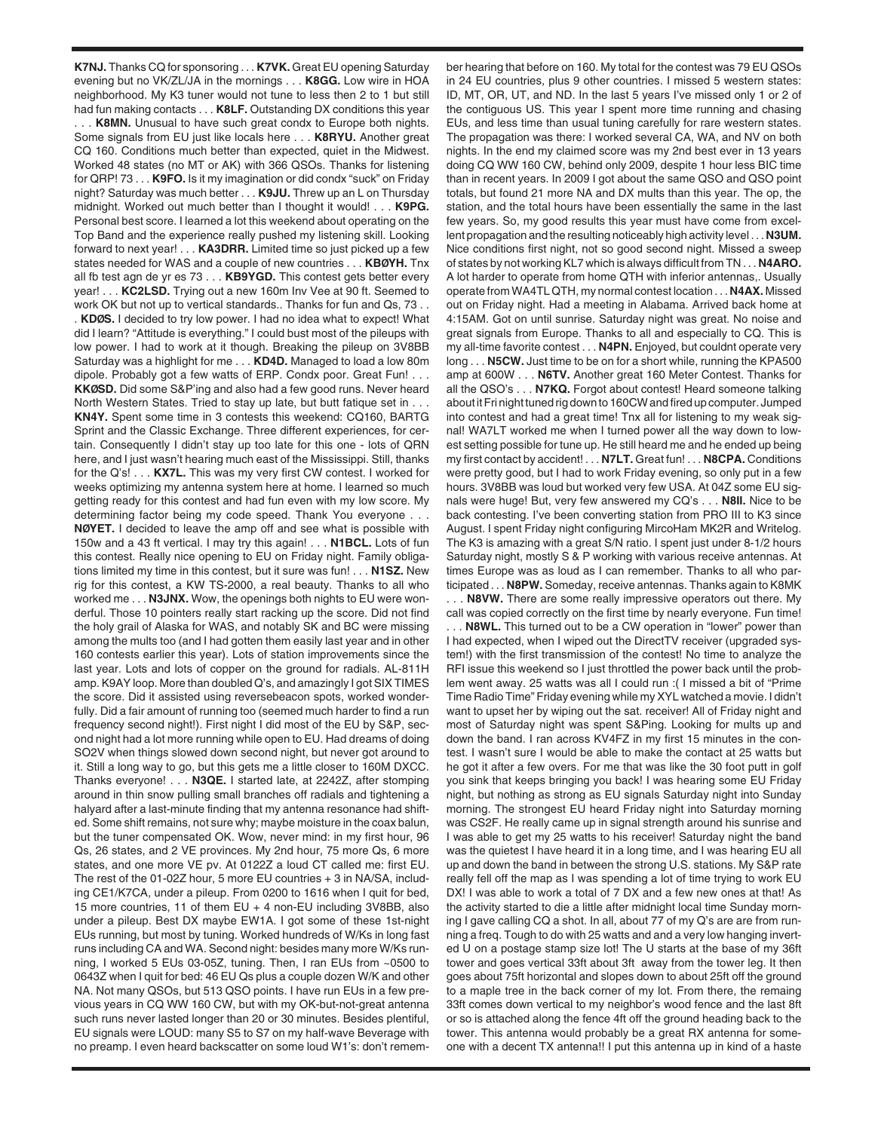**K7NJ.** Thanks CQ for sponsoring . . . **K7VK.** Great EU opening Saturday evening but no VK/ZL/JA in the mornings . . . **K8GG.** Low wire in HOA neighborhood. My K3 tuner would not tune to less then 2 to 1 but still had fun making contacts . . . **K8LF.** Outstanding DX conditions this year . . . **K8MN.** Unusual to have such great condx to Europe both nights. Some signals from EU just like locals here . . . **K8RYU.** Another great CQ 160. Conditions much better than expected, quiet in the Midwest. Worked 48 states (no MT or AK) with 366 QSOs. Thanks for listening for QRP! 73 . . . **K9FO.** Is it my imagination or did condx "suck" on Friday night? Saturday was much better . . . **K9JU.** Threw up an L on Thursday midnight. Worked out much better than I thought it would! . . . **K9PG.** Personal best score. I learned a lot this weekend about operating on the Top Band and the experience really pushed my listening skill. Looking forward to next year! . . . **KA3DRR.** Limited time so just picked up a few states needed for WAS and a couple of new countries . . . **KBØYH.** Tnx all fb test agn de yr es 73 . . . **KB9YGD.** This contest gets better every year! . . . **KC2LSD.** Trying out a new 160m Inv Vee at 90 ft. Seemed to work OK but not up to vertical standards.. Thanks for fun and Qs, 73 . . . **KDØS.** I decided to try low power. I had no idea what to expect! What did I learn? "Attitude is everything." I could bust most of the pileups with low power. I had to work at it though. Breaking the pileup on 3V8BB Saturday was a highlight for me . . . **KD4D.** Managed to load a low 80m dipole. Probably got a few watts of ERP. Condx poor. Great Fun! . . . **KKØSD.** Did some S&P'ing and also had a few good runs. Never heard North Western States. Tried to stay up late, but butt fatique set in . . . **KN4Y.** Spent some time in 3 contests this weekend: CQ160, BARTG Sprint and the Classic Exchange. Three different experiences, for certain. Consequently I didn't stay up too late for this one - lots of QRN here, and I just wasn't hearing much east of the Mississippi. Still, thanks for the Q's! . . . **KX7L.** This was my very first CW contest. I worked for weeks optimizing my antenna system here at home. I learned so much getting ready for this contest and had fun even with my low score. My determining factor being my code speed. Thank You everyone . . . **NØYET.** I decided to leave the amp off and see what is possible with 150w and a 43 ft vertical. I may try this again! . . . **N1BCL.** Lots of fun this contest. Really nice opening to EU on Friday night. Family obligations limited my time in this contest, but it sure was fun! . . . **N1SZ.** New rig for this contest, a KW TS-2000, a real beauty. Thanks to all who worked me . . . **N3JNX.** Wow, the openings both nights to EU were wonderful. Those 10 pointers really start racking up the score. Did not find the holy grail of Alaska for WAS, and notably SK and BC were missing among the mults too (and I had gotten them easily last year and in other 160 contests earlier this year). Lots of station improvements since the last year. Lots and lots of copper on the ground for radials. AL-811H amp. K9AY loop. More than doubled Q's, and amazingly I got SIX TIMES the score. Did it assisted using reversebeacon spots, worked wonderfully. Did a fair amount of running too (seemed much harder to find a run frequency second night!). First night I did most of the EU by S&P, second night had a lot more running while open to EU. Had dreams of doing SO2V when things slowed down second night, but never got around to it. Still a long way to go, but this gets me a little closer to 160M DXCC. Thanks everyone! . . . **N3QE.** I started late, at 2242Z, after stomping around in thin snow pulling small branches off radials and tightening a halyard after a last-minute finding that my antenna resonance had shifted. Some shift remains, not sure why; maybe moisture in the coax balun, but the tuner compensated OK. Wow, never mind: in my first hour, 96 Qs, 26 states, and 2 VE provinces. My 2nd hour, 75 more Qs, 6 more states, and one more VE pv. At 0122Z a loud CT called me: first EU. The rest of the 01-02Z hour, 5 more EU countries + 3 in NA/SA, including CE1/K7CA, under a pileup. From 0200 to 1616 when I quit for bed, 15 more countries, 11 of them EU + 4 non-EU including 3V8BB, also under a pileup. Best DX maybe EW1A. I got some of these 1st-night EUs running, but most by tuning. Worked hundreds of W/Ks in long fast runs including CA and WA. Second night: besides many more W/Ks running, I worked 5 EUs 03-05Z, tuning. Then, I ran EUs from ~0500 to 0643Z when I quit for bed: 46 EU Qs plus a couple dozen W/K and other NA. Not many QSOs, but 513 QSO points. I have run EUs in a few previous years in CQ WW 160 CW, but with my OK-but-not-great antenna such runs never lasted longer than 20 or 30 minutes. Besides plentiful, EU signals were LOUD: many S5 to S7 on my half-wave Beverage with no preamp. I even heard backscatter on some loud W1's: don't remem-

ber hearing that before on 160. My total for the contest was 79 EU QSOs in 24 EU countries, plus 9 other countries. I missed 5 western states: ID, MT, OR, UT, and ND. In the last 5 years I've missed only 1 or 2 of the contiguous US. This year I spent more time running and chasing EUs, and less time than usual tuning carefully for rare western states. The propagation was there: I worked several CA, WA, and NV on both nights. In the end my claimed score was my 2nd best ever in 13 years doing CQ WW 160 CW, behind only 2009, despite 1 hour less BIC time than in recent years. In 2009 I got about the same QSO and QSO point totals, but found 21 more NA and DX mults than this year. The op, the station, and the total hours have been essentially the same in the last few years. So, my good results this year must have come from excellent propagation and the resulting noticeably high activity level . . . **N3UM.** Nice conditions first night, not so good second night. Missed a sweep of states by not working KL7 which is always difficult from TN . . . **N4ARO.** A lot harder to operate from home QTH with inferior antennas,. Usually operate from WA4TL QTH, my normal contest location . . . **N4AX.** Missed out on Friday night. Had a meeting in Alabama. Arrived back home at 4:15AM. Got on until sunrise. Saturday night was great. No noise and great signals from Europe. Thanks to all and especially to CQ. This is my all-time favorite contest . . . **N4PN.** Enjoyed, but couldnt operate very long . . . **N5CW.** Just time to be on for a short while, running the KPA500 amp at 600W . . . **N6TV.** Another great 160 Meter Contest. Thanks for all the QSO's . . . **N7KQ.** Forgot about contest! Heard someone talking about it Fri night tuned rig down to 160CW and fired up computer. Jumped into contest and had a great time! Tnx all for listening to my weak signal! WA7LT worked me when I turned power all the way down to lowest setting possible for tune up. He still heard me and he ended up being my first contact by accident! . . . **N7LT.** Great fun! . . . **N8CPA.** Conditions were pretty good, but I had to work Friday evening, so only put in a few hours. 3V8BB was loud but worked very few USA. At 04Z some EU signals were huge! But, very few answered my CQ's . . . **N8II.** Nice to be back contesting. I've been converting station from PRO III to K3 since August. I spent Friday night configuring MircoHam MK2R and Writelog. The K3 is amazing with a great S/N ratio. I spent just under 8-1/2 hours Saturday night, mostly S & P working with various receive antennas. At times Europe was as loud as I can remember. Thanks to all who participated . . . **N8PW.** Someday, receive antennas. Thanks again to K8MK

. . . **N8VW.** There are some really impressive operators out there. My call was copied correctly on the first time by nearly everyone. Fun time! . . . **N8WL.** This turned out to be a CW operation in "lower" power than I had expected, when I wiped out the DirectTV receiver (upgraded system!) with the first transmission of the contest! No time to analyze the RFI issue this weekend so I just throttled the power back until the problem went away. 25 watts was all I could run :( I missed a bit of "Prime Time Radio Time" Friday evening while my XYL watched a movie. I didn't want to upset her by wiping out the sat. receiver! All of Friday night and most of Saturday night was spent S&Ping. Looking for mults up and down the band. I ran across KV4FZ in my first 15 minutes in the contest. I wasn't sure I would be able to make the contact at 25 watts but he got it after a few overs. For me that was like the 30 foot putt in golf you sink that keeps bringing you back! I was hearing some EU Friday night, but nothing as strong as EU signals Saturday night into Sunday morning. The strongest EU heard Friday night into Saturday morning was CS2F. He really came up in signal strength around his sunrise and I was able to get my 25 watts to his receiver! Saturday night the band was the quietest I have heard it in a long time, and I was hearing EU all up and down the band in between the strong U.S. stations. My S&P rate really fell off the map as I was spending a lot of time trying to work EU DX! I was able to work a total of 7 DX and a few new ones at that! As the activity started to die a little after midnight local time Sunday morning I gave calling CQ a shot. In all, about 77 of my Q's are are from running a freq. Tough to do with 25 watts and and a very low hanging inverted U on a postage stamp size lot! The U starts at the base of my 36ft tower and goes vertical 33ft about 3ft away from the tower leg. It then goes about 75ft horizontal and slopes down to about 25ft off the ground to a maple tree in the back corner of my lot. From there, the remaing 33ft comes down vertical to my neighbor's wood fence and the last 8ft or so is attached along the fence 4ft off the ground heading back to the tower. This antenna would probably be a great RX antenna for someone with a decent TX antenna!! I put this antenna up in kind of a haste